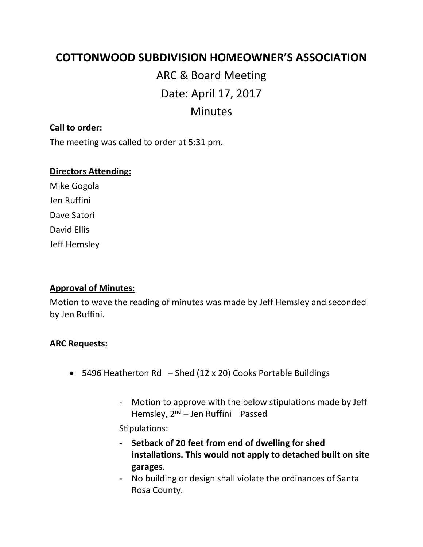# **COTTONWOOD SUBDIVISION HOMEOWNER'S ASSOCIATION**

# ARC & Board Meeting Date: April 17, 2017 Minutes

#### **Call to order:**

The meeting was called to order at 5:31 pm.

#### **Directors Attending:**

Mike Gogola Jen Ruffini Dave Satori David Ellis Jeff Hemsley

#### **Approval of Minutes:**

Motion to wave the reading of minutes was made by Jeff Hemsley and seconded by Jen Ruffini.

#### **ARC Requests:**

- 5496 Heatherton Rd  $-$  Shed (12 x 20) Cooks Portable Buildings
	- Motion to approve with the below stipulations made by Jeff Hemsley,  $2^{nd}$  – Jen Ruffini Passed

Stipulations:

- **Setback of 20 feet from end of dwelling for shed installations. This would not apply to detached built on site garages**.
- No building or design shall violate the ordinances of Santa Rosa County.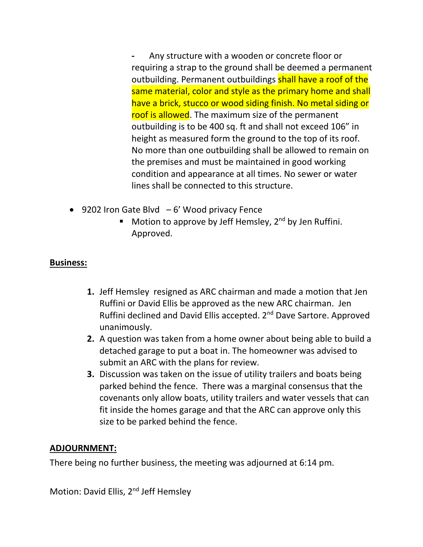*-* Any structure with a wooden or concrete floor or requiring a strap to the ground shall be deemed a permanent outbuilding. Permanent outbuildings shall have a roof of the same material, color and style as the primary home and shall have a brick, stucco or wood siding finish. No metal siding or roof is allowed. The maximum size of the permanent outbuilding is to be 400 sq. ft and shall not exceed 106" in height as measured form the ground to the top of its roof. No more than one outbuilding shall be allowed to remain on the premises and must be maintained in good working condition and appearance at all times. No sewer or water lines shall be connected to this structure.

- 9202 Iron Gate Blvd  $-6'$  Wood privacy Fence
	- **■** Motion to approve by Jeff Hemsley,  $2^{nd}$  by Jen Ruffini. Approved.

## **Business:**

- **1.** Jeff Hemsley resigned as ARC chairman and made a motion that Jen Ruffini or David Ellis be approved as the new ARC chairman. Jen Ruffini declined and David Ellis accepted. 2<sup>nd</sup> Dave Sartore. Approved unanimously.
- **2.** A question was taken from a home owner about being able to build a detached garage to put a boat in. The homeowner was advised to submit an ARC with the plans for review.
- **3.** Discussion was taken on the issue of utility trailers and boats being parked behind the fence. There was a marginal consensus that the covenants only allow boats, utility trailers and water vessels that can fit inside the homes garage and that the ARC can approve only this size to be parked behind the fence.

### **ADJOURNMENT:**

There being no further business, the meeting was adjourned at 6:14 pm.

Motion: David Ellis, 2<sup>nd</sup> Jeff Hemsley